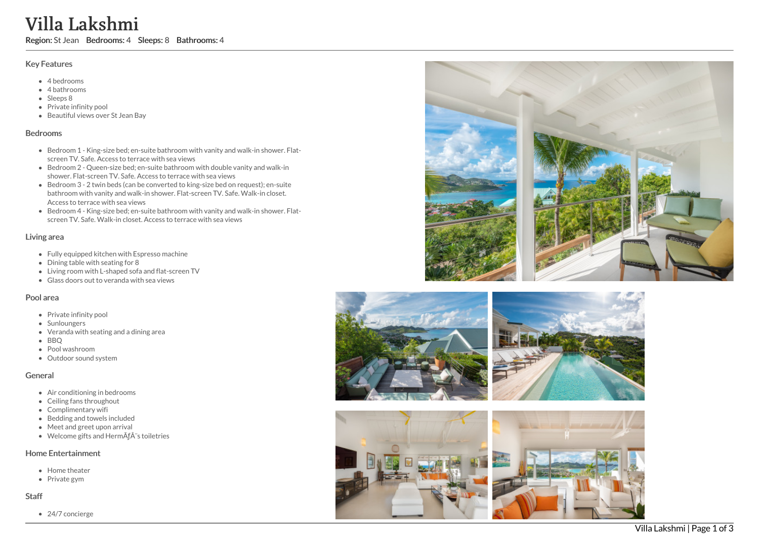# Villa Lakshmi

Region: St Jean Bedrooms: 4 Sleeps: 8 Bathrooms: 4

#### Key Features

- 4 b e d r o o m s
- 4 bathrooms
- Sleeps 8
- Private infinity pool
- Beautiful views over St Jean Bay

#### **Bedrooms**

- Bedroom 1 King-size bed; en-suite bathroom with vanity and walk-in shower. Flatscreen TV. Safe. Access to terrace with sea views
- Bedroom 2 Queen-size bed; en-suite bathroom with double vanity and walk-in shower. Flat-screen TV. Safe. Access to terrace with sea views
- Bedroom 3 2 twin beds (can be converted to king-size bed on request); en-suite bathroom with vanity and walk-in shower. Flat-screen TV. Safe. Walk-in closet. Access to terrace with sea views
- Bedroom 4 King-size bed; en-suite bathroom with vanity and walk-in shower. Fla t screen TV. Safe. Walk-in closet. Access to terrace with sea views

#### Living area

- Fully equipped kitchen with Espresso machine
- Dining table with seating for 8
- Living room with L-shaped sofa and flat-screen TV
- Glass doors out to veranda with sea views

#### Pool area

- Private infinity pool
- Sunloungers
- Veranda with seating and a dining area
- B B Q
- Pool washroom
- Outdoor sound system

#### General

- Air conditioning in bedrooms
- Ceiling fans throughout
- Complimentary wifi
- Bedding and towels included
- Meet and greet upon arrival
- Welcome gifts and HermÃès toiletries

### Home Entertainment

- Home theater
- Private gym

#### S t a f f

24/7 concierge







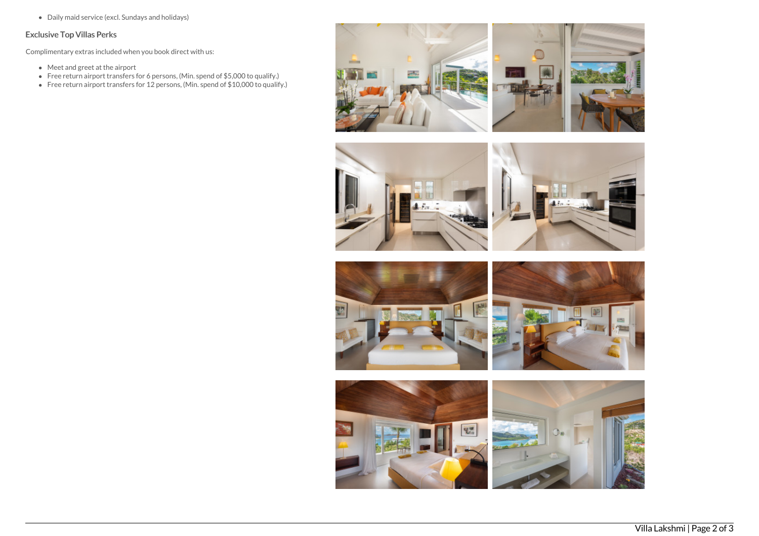Daily maid service (excl. Sundays and holidays)

## Exclusive Top Villas Perks

Complimentary extras included when you book direct with us:

- Meet and greet at the airport
- Free return airport transfers for 6 persons, (Min. spend of \$5,000 to qualify.)
- Free return airport transfers for 12 persons, (Min. spend of \$10,000 to qualify.)